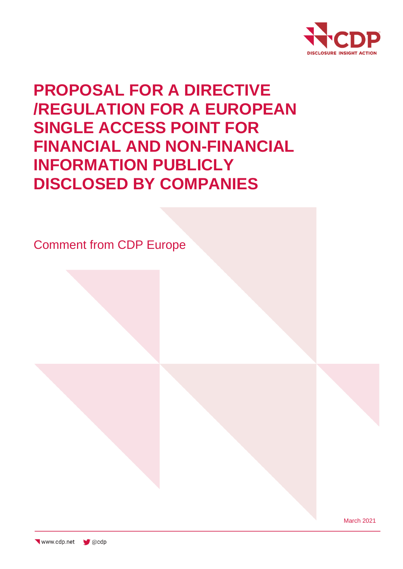

# **PROPOSAL FOR A DIRECTIVE /REGULATION FOR A EUROPEAN SINGLE ACCESS POINT FOR FINANCIAL AND NON-FINANCIAL INFORMATION PUBLICLY DISCLOSED BY COMPANIES**

Comment from CDP Europe

March 2021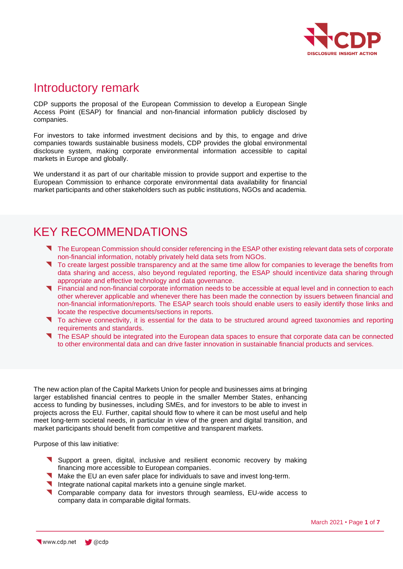

### Introductory remark

CDP supports the proposal of the European Commission to develop a European Single Access Point (ESAP) for financial and non-financial information publicly disclosed by companies.

For investors to take informed investment decisions and by this, to engage and drive companies towards sustainable business models, CDP provides the global environmental disclosure system, making corporate environmental information accessible to capital markets in Europe and globally.

We understand it as part of our charitable mission to provide support and expertise to the European Commission to enhance corporate environmental data availability for financial market participants and other stakeholders such as public institutions, NGOs and academia.

### KEY RECOMMENDATIONS

- The European Commission should consider referencing in the ESAP other existing relevant data sets of corporate non-financial information, notably privately held data sets from NGOs.
- To create largest possible transparency and at the same time allow for companies to leverage the benefits from data sharing and access, also beyond regulated reporting, the ESAP should incentivize data sharing through appropriate and effective technology and data governance.
- Financial and non-financial corporate information needs to be accessible at equal level and in connection to each other wherever applicable and whenever there has been made the connection by issuers between financial and non-financial information/reports. The ESAP search tools should enable users to easily identify those links and locate the respective documents/sections in reports.
- To achieve connectivity, it is essential for the data to be structured around agreed taxonomies and reporting requirements and standards.
- The ESAP should be integrated into the European data spaces to ensure that corporate data can be connected to other environmental data and can drive faster innovation in sustainable financial products and services.

The new action plan of the Capital Markets Union for people and businesses aims at bringing larger established financial centres to people in the smaller Member States, enhancing access to funding by businesses, including SMEs, and for investors to be able to invest in projects across the EU. Further, capital should flow to where it can be most useful and help meet long-term societal needs, in particular in view of the green and digital transition, and market participants should benefit from competitive and transparent markets.

Purpose of this law initiative:

- Support a green, digital, inclusive and resilient economic recovery by making financing more accessible to European companies.
- Make the EU an even safer place for individuals to save and invest long-term.
- Integrate national capital markets into a genuine single market.
- **Comparable company data for investors through seamless, EU-wide access to** company data in comparable digital formats.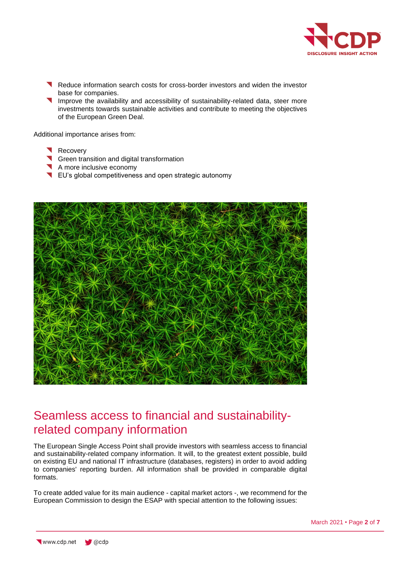

- Reduce information search costs for cross-border investors and widen the investor base for companies.
- Improve the availability and accessibility of sustainability-related data, steer more investments towards sustainable activities and contribute to meeting the objectives of the European Green Deal.

Additional importance arises from:

- Recovery
- Green transition and digital transformation
- A more inclusive economy
- EU's global competitiveness and open strategic autonomy



### Seamless access to financial and sustainabilityrelated company information

The European Single Access Point shall provide investors with seamless access to financial and sustainability-related company information. It will, to the greatest extent possible, build on existing EU and national IT infrastructure (databases, registers) in order to avoid adding to companies' reporting burden. All information shall be provided in comparable digital formats.

To create added value for its main audience - capital market actors -, we recommend for the European Commission to design the ESAP with special attention to the following issues: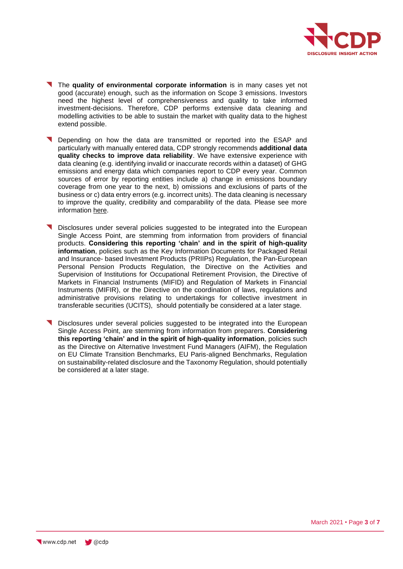

- The **quality of environmental corporate information** is in many cases yet not good (accurate) enough, such as the information on Scope 3 emissions. Investors need the highest level of comprehensiveness and quality to take informed investment-decisions. Therefore, CDP performs extensive data cleaning and modelling activities to be able to sustain the market with quality data to the highest extend possible.
- Depending on how the data are transmitted or reported into the ESAP and particularly with manually entered data, CDP strongly recommends **additional data quality checks to improve data reliability**. We have extensive experience with data cleaning (e.g. identifying invalid or inaccurate records within a dataset) of GHG emissions and energy data which companies report to CDP every year. Common sources of error by reporting entities include a) change in emissions boundary coverage from one year to the next, b) omissions and exclusions of parts of the business or c) data entry errors (e.g. incorrect units). The data cleaning is necessary to improve the quality, credibility and comparability of the data. Please see more information [here.](https://6fefcbb86e61af1b2fc4-c70d8ead6ced550b4d987d7c03fcdd1d.ssl.cf3.rackcdn.com/comfy/cms/files/files/000/003/026/original/2020_01_06_GHG_Dataset_Cleaning_Approach.pdf)
- Disclosures under several policies suggested to be integrated into the European Single Access Point, are stemming from information from providers of financial products. **Considering this reporting 'chain' and in the spirit of high-quality information**, policies such as the Key Information Documents for Packaged Retail and Insurance- based Investment Products (PRIIPs) Regulation, the Pan-European Personal Pension Products Regulation, the Directive on the Activities and Supervision of Institutions for Occupational Retirement Provision, the Directive of Markets in Financial Instruments (MIFID) and Regulation of Markets in Financial Instruments (MIFIR), or the Directive on the coordination of laws, regulations and administrative provisions relating to undertakings for collective investment in transferable securities (UCITS), should potentially be considered at a later stage.
- Disclosures under several policies suggested to be integrated into the European Single Access Point, are stemming from information from preparers. **Considering this reporting 'chain' and in the spirit of high-quality information**, policies such as the Directive on Alternative Investment Fund Managers (AIFM), the Regulation on EU Climate Transition Benchmarks, EU Paris-aligned Benchmarks, Regulation on sustainability-related disclosure and the Taxonomy Regulation, should potentially be considered at a later stage.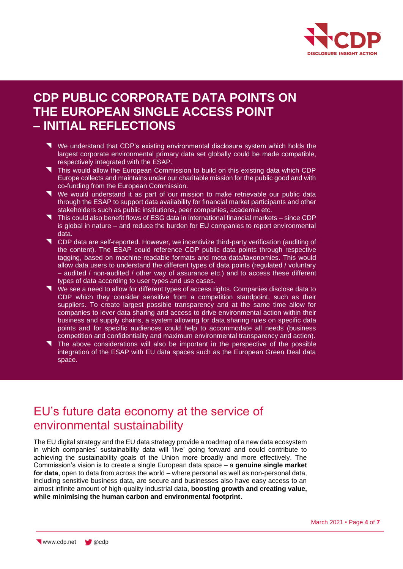

### **CDP PUBLIC CORPORATE DATA POINTS ON THE EUROPEAN SINGLE ACCESS POINT – INITIAL REFLECTIONS**

- We understand that CDP's existing environmental disclosure system which holds the largest corporate environmental primary data set globally could be made compatible, respectively integrated with the ESAP.
- This would allow the European Commission to build on this existing data which CDP Europe collects and maintains under our charitable mission for the public good and with co-funding from the European Commission.
- We would understand it as part of our mission to make retrievable our public data through the ESAP to support data availability for financial market participants and other stakeholders such as public institutions, peer companies, academia etc.
- This could also benefit flows of ESG data in international financial markets since CDP is global in nature – and reduce the burden for EU companies to report environmental data.
- **T** CDP data are self-reported. However, we incentivize third-party verification (auditing of the content). The ESAP could reference CDP public data points through respective tagging, based on machine-readable formats and meta-data/taxonomies. This would allow data users to understand the different types of data points (regulated / voluntary – audited / non-audited / other way of assurance etc.) and to access these different types of data according to user types and use cases.
- We see a need to allow for different types of access rights. Companies disclose data to CDP which they consider sensitive from a competition standpoint, such as their suppliers. To create largest possible transparency and at the same time allow for companies to lever data sharing and access to drive environmental action within their business and supply chains, a system allowing for data sharing rules on specific data points and for specific audiences could help to accommodate all needs (business competition and confidentiality and maximum environmental transparency and action).
- The above considerations will also be important in the perspective of the possible integration of the ESAP with EU data spaces such as the European Green Deal data space.

### EU's future data economy at the service of environmental sustainability

The EU digital strategy and the EU data strategy provide a roadmap of a new data ecosystem in which companies' sustainability data will 'live' going forward and could contribute to achieving the sustainability goals of the Union more broadly and more effectively. The Commission's vision is to create a single European data space – a **genuine single market for data**, open to data from across the world – where personal as well as non-personal data, including sensitive business data, are secure and businesses also have easy access to an almost infinite amount of high-quality industrial data, **boosting growth and creating value, while minimising the human carbon and environmental footprint**.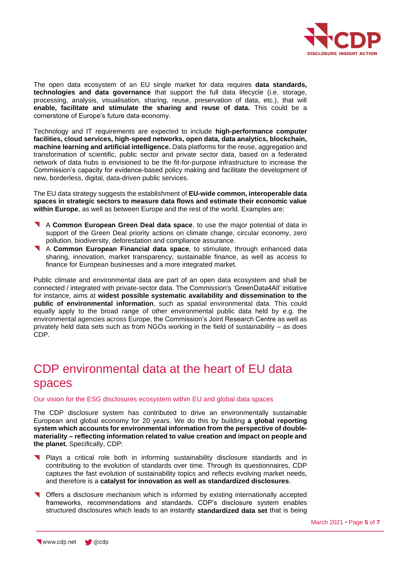

The open data ecosystem of an EU single market for data requires **data standards, technologies and data governance** that support the full data lifecycle (i.e. storage, processing, analysis, visualisation, sharing, reuse, preservation of data, etc.), that will **enable, facilitate and stimulate the sharing and reuse of data.** This could be a cornerstone of Europe's future data economy.

Technology and IT requirements are expected to include **high-performance computer facilities, cloud services, high-speed networks, open data, data analytics, blockchain, machine learning and artificial intelligence.** Data platforms for the reuse, aggregation and transformation of scientific, public sector and private sector data, based on a federated network of data hubs is envisioned to be the fit-for-purpose infrastructure to increase the Commission's capacity for evidence-based policy making and facilitate the development of new, borderless, digital, data-driven public services.

The EU data strategy suggests the establishment of **EU-wide common, interoperable data spaces in strategic sectors to measure data flows and estimate their economic value within Europe**, as well as between Europe and the rest of the world. Examples are:

- A **Common European Green Deal data space**, to use the major potential of data in support of the Green Deal priority actions on climate change, circular economy, zero pollution, biodiversity, deforestation and compliance assurance.
- A **Common European Financial data space**, to stimulate, through enhanced data sharing, innovation, market transparency, sustainable finance, as well as access to finance for European businesses and a more integrated market.

Public climate and environmental data are part of an open data ecosystem and shall be connected / integrated with private-sector data. The Commission's 'GreenData4All' initiative for instance, aims at **widest possible systematic availability and dissemination to the public of environmental information**, such as spatial environmental data. This could equally apply to the broad range of other environmental public data held by e.g. the environmental agencies across Europe, the Commission's Joint Research Centre as well as privately held data sets such as from NGOs working in the field of sustainability – as does CDP.

## CDP environmental data at the heart of EU data spaces

Our vision for the ESG disclosures ecosystem within EU and global data spaces

The CDP disclosure system has contributed to drive an environmentally sustainable European and global economy for 20 years. We do this by building **a global reporting system which accounts for environmental information from the perspective of doublemateriality – reflecting information related to value creation and impact on people and the planet.** Specifically, CDP:

- **T** Plays a critical role both in informing sustainability disclosure standards and in contributing to the evolution of standards over time. Through its questionnaires, CDP captures the fast evolution of sustainability topics and reflects evolving market needs, and therefore is a **catalyst for innovation as well as standardized disclosures**.
- Offers a disclosure mechanism which is informed by existing internationally accepted frameworks, recommendations and standards. CDP's disclosure system enables structured disclosures which leads to an instantly **standardized data set** that is being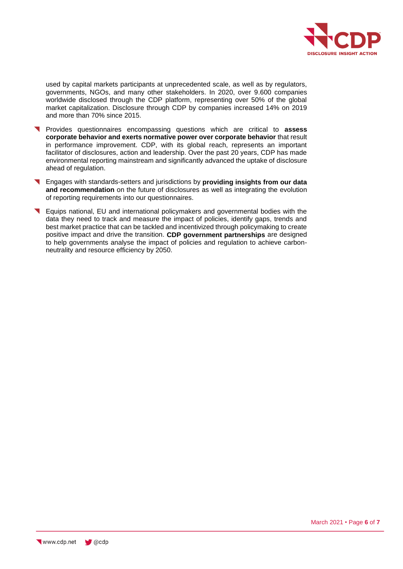

used by capital markets participants at unprecedented scale, as well as by regulators, governments, NGOs, and many other stakeholders. In 2020, over 9.600 companies worldwide disclosed through the CDP platform, representing over 50% of the global market capitalization. Disclosure through CDP by companies increased 14% on 2019 and more than 70% since 2015.

- Provides questionnaires encompassing questions which are critical to **assess corporate behavior and exerts normative power over corporate behavior** that result in performance improvement. CDP, with its global reach, represents an important facilitator of disclosures, action and leadership. Over the past 20 years, CDP has made environmental reporting mainstream and significantly advanced the uptake of disclosure ahead of regulation.
- Engages with standards-setters and jurisdictions by **providing insights from our data and recommendation** on the future of disclosures as well as integrating the evolution of reporting requirements into our questionnaires.
- Equips national, EU and international policymakers and governmental bodies with the data they need to track and measure the impact of policies, identify gaps, trends and best market practice that can be tackled and incentivized through policymaking to create positive impact and drive the transition. **[CDP government partnerships](https://www.cdp.net/en/policy-and-public-affairs/government-partnerships)** are designed to help governments analyse the impact of policies and regulation to achieve carbonneutrality and resource efficiency by 2050.